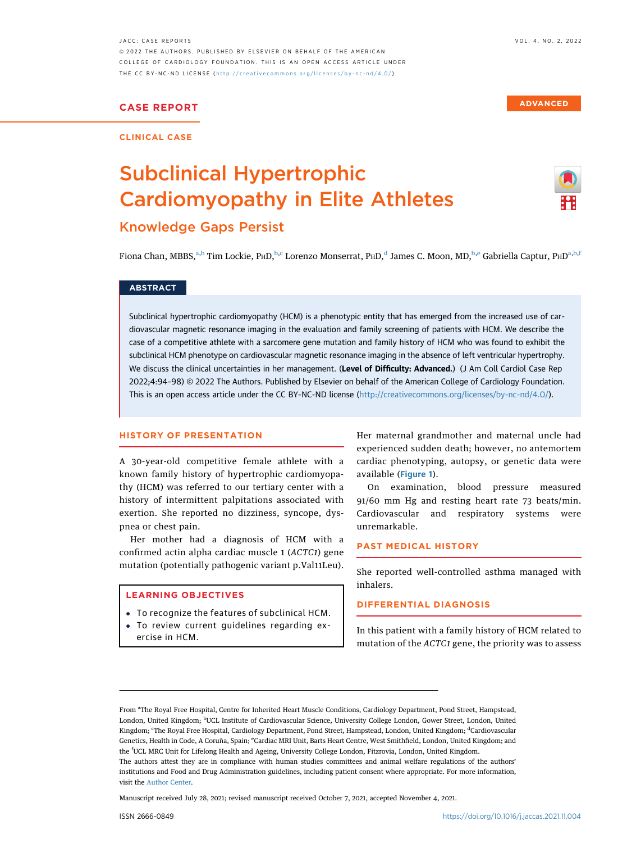**ADVANCED** 

JACC: CASE REPORTS VOL. 4, NO. 2, 2022 ª 2022 THE AUTHORS. PUBLISHED BY ELSEVIER ON BEHALF OF THE AMERICAN COLLEGE OF CARDIOLOGY FOUNDATION. THIS IS AN OPEN ACCESS ARTICLE UNDER THE CC BY-NC-ND LICENSE ( <http://creativecommons.org/licenses/by-nc-nd/4.0/> ) .

# CASE REPORT

#### CLINICAL CASE

# Subclinical Hypertrophic Cardiomyopathy in Elite Athletes Knowledge Gaps Persist



Fiona Chan, MBBS,<sup>a,b</sup> Tim Lockie, PHD,<sup>b,c</sup> Lorenzo Monserrat, PHD,<sup>d</sup> James C. Moon, MD,<sup>b,e</sup> Gabriella Captur, PHD<sup>a,b,f</sup>

#### **ABSTRACT**

Subclinical hypertrophic cardiomyopathy (HCM) is a phenotypic entity that has emerged from the increased use of cardiovascular magnetic resonance imaging in the evaluation and family screening of patients with HCM. We describe the case of a competitive athlete with a sarcomere gene mutation and family history of HCM who was found to exhibit the subclinical HCM phenotype on cardiovascular magnetic resonance imaging in the absence of left ventricular hypertrophy. We discuss the clinical uncertainties in her management. (Level of Difficulty: Advanced.) (J Am Coll Cardiol Case Rep 2022;4:94–98) © 2022 The Authors. Published by Elsevier on behalf of the American College of Cardiology Foundation. This is an open access article under the CC BY-NC-ND license [\(http://creativecommons.org/licenses/by-nc-nd/4.0/](http://creativecommons.org/licenses/by-nc-nd/4.0/)).

#### HISTORY OF PRESENTATION

A 30-year-old competitive female athlete with a known family history of hypertrophic cardiomyopathy (HCM) was referred to our tertiary center with a history of intermittent palpitations associated with exertion. She reported no dizziness, syncope, dyspnea or chest pain.

Her mother had a diagnosis of HCM with a confirmed actin alpha cardiac muscle 1 (ACTC1) gene mutation (potentially pathogenic variant p.Val11Leu).

#### LEARNING OBJECTIVES

- To recognize the features of subclinical HCM.
- To review current guidelines regarding ex
	- ercise in HCM.

Her maternal grandmother and maternal uncle had experienced sudden death; however, no antemortem cardiac phenotyping, autopsy, or genetic data were available ([Figure 1](#page-2-0)).

On examination, blood pressure measured 91/60 mm Hg and resting heart rate 73 beats/min. Cardiovascular and respiratory systems were unremarkable.

#### PAST MEDICAL HISTORY

She reported well-controlled asthma managed with inhalers.

# DIFFERENTIAL DIAGNOSIS

In this patient with a family history of HCM related to mutation of the ACTC1 gene, the priority was to assess

Manuscript received July 28, 2021; revised manuscript received October 7, 2021, accepted November 4, 2021.

From <sup>a</sup>The Royal Free Hospital, Centre for Inherited Heart Muscle Conditions, Cardiology Department, Pond Street, Hampstead, London, United Kingdom; <sup>b</sup>UCL Institute of Cardiovascular Science, University College London, Gower Street, London, United Kingdom; <sup>c</sup>The Royal Free Hospital, Cardiology Department, Pond Street, Hampstead, London, United Kingdom; <sup>d</sup>Cardiovascular Genetics, Health in Code, A Coruña, Spain; <sup>e</sup>Cardiac MRI Unit, Barts Heart Centre, West Smithfield, London, United Kingdom; and the <sup>f</sup> UCL MRC Unit for Lifelong Health and Ageing, University College London, Fitzrovia, London, United Kingdom. The authors attest they are in compliance with human studies committees and animal welfare regulations of the authors' institutions and Food and Drug Administration guidelines, including patient consent where appropriate. For more information, visit the [Author Center](https://www.jacc.org/author-center).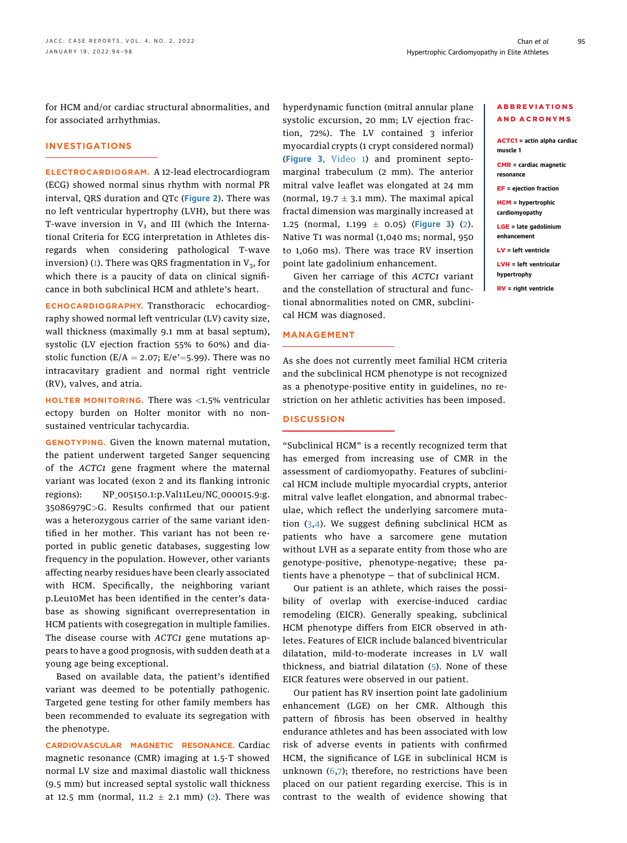for HCM and/or cardiac structural abnormalities, and for associated arrhythmias.

# INVESTIGATIONS

ELECTROCARDIOGRAM. A 12-lead electrocardiogram (ECG) showed normal sinus rhythm with normal PR interval, QRS duration and QTc ([Figure 2](#page-2-1)). There was no left ventricular hypertrophy (LVH), but there was T-wave inversion in  $V_1$  and III (which the International Criteria for ECG interpretation in Athletes disregards when considering pathological T-wave inversion) ([1\)](#page-4-0). There was QRS fragmentation in  $V_3$ , for which there is a paucity of data on clinical significance in both subclinical HCM and athlete's heart.

ECHOCARDIOGRAPHY. Transthoracic echocardiography showed normal left ventricular (LV) cavity size, wall thickness (maximally 9.1 mm at basal septum), systolic (LV ejection fraction 55% to 60%) and diastolic function ( $E/A = 2.07$ ;  $E/e' = 5.99$ ). There was no intracavitary gradient and normal right ventricle (RV), valves, and atria.

HOLTER MONITORING. There was  $\langle 1.5\%$  ventricular ectopy burden on Holter monitor with no nonsustained ventricular tachycardia.

GENOTYPING. Given the known maternal mutation, the patient underwent targeted Sanger sequencing of the ACTC1 gene fragment where the maternal variant was located (exon 2 and its flanking intronic regions): NP\_005150.1:p.Val11Leu/NC\_000015.9:g. 35086979C>G. Results confirmed that our patient was a heterozygous carrier of the same variant identified in her mother. This variant has not been reported in public genetic databases, suggesting low frequency in the population. However, other variants affecting nearby residues have been clearly associated with HCM. Specifically, the neighboring variant p.Leu10Met has been identified in the center's database as showing significant overrepresentation in HCM patients with cosegregation in multiple families. The disease course with ACTC1 gene mutations appears to have a good prognosis, with sudden death at a young age being exceptional.

Based on available data, the patient's identified variant was deemed to be potentially pathogenic. Targeted gene testing for other family members has been recommended to evaluate its segregation with the phenotype.

CARDIOVASCULAR MAGNETIC RESONANCE. Cardiac magnetic resonance (CMR) imaging at 1.5-T showed normal LV size and maximal diastolic wall thickness (9.5 mm) but increased septal systolic wall thickness at 12.5 mm (normal,  $11.2 \pm 2.1$  mm) ([2\)](#page-4-1). There was hyperdynamic function (mitral annular plane systolic excursion, 20 mm; LV ejection fraction, 72%). The LV contained 3 inferior myocardial crypts (1 crypt considered normal) ([Figure 3,](#page-3-0) [Video 1](https://doi.org/10.1016/j.jaccas.2021.11.004)) and prominent septomarginal trabeculum (2 mm). The anterior mitral valve leaflet was elongated at 24 mm (normal,  $19.7 \pm 3.1$  mm). The maximal apical fractal dimension was marginally increased at 1.25 (normal, 1.199  $\pm$  0.05) ([Figure 3](#page-3-0)) ([2\)](#page-4-1). Native T1 was normal (1,040 ms; normal, 950 to 1,060 ms). There was trace RV insertion point late gadolinium enhancement.

Given her carriage of this ACTC1 variant and the constellation of structural and functional abnormalities noted on CMR, subclinical HCM was diagnosed.

#### MANAGEMENT

# ABBREVIATIONS AND ACRONYMS

ACTC1 = actin alpha cardiac muscle 1

CMR = cardiac magnetic resonance

EF = ejection fraction

HCM = hypertrophic cardiomyopathy

LGE = late gadolinium enhancement

LV = left ventricle

LVH = left ventricular hypertrophy

RV = right ventricle

As she does not currently meet familial HCM criteria and the subclinical HCM phenotype is not recognized as a phenotype-positive entity in guidelines, no restriction on her athletic activities has been imposed.

#### **DISCUSSION**

"Subclinical HCM" is a recently recognized term that has emerged from increasing use of CMR in the assessment of cardiomyopathy. Features of subclinical HCM include multiple myocardial crypts, anterior mitral valve leaflet elongation, and abnormal trabeculae, which reflect the underlying sarcomere mutation ([3,](#page-4-2)[4](#page-4-3)). We suggest defining subclinical HCM as patients who have a sarcomere gene mutation without LVH as a separate entity from those who are genotype-positive, phenotype-negative; these patients have a phenotype — that of subclinical HCM.

Our patient is an athlete, which raises the possibility of overlap with exercise-induced cardiac remodeling (EICR). Generally speaking, subclinical HCM phenotype differs from EICR observed in athletes. Features of EICR include balanced biventricular dilatation, mild-to-moderate increases in LV wall thickness, and biatrial dilatation ([5\)](#page-4-4). None of these EICR features were observed in our patient.

Our patient has RV insertion point late gadolinium enhancement (LGE) on her CMR. Although this pattern of fibrosis has been observed in healthy endurance athletes and has been associated with low risk of adverse events in patients with confirmed HCM, the significance of LGE in subclinical HCM is unknown  $(6,7)$  $(6,7)$  $(6,7)$ ; therefore, no restrictions have been placed on our patient regarding exercise. This is in contrast to the wealth of evidence showing that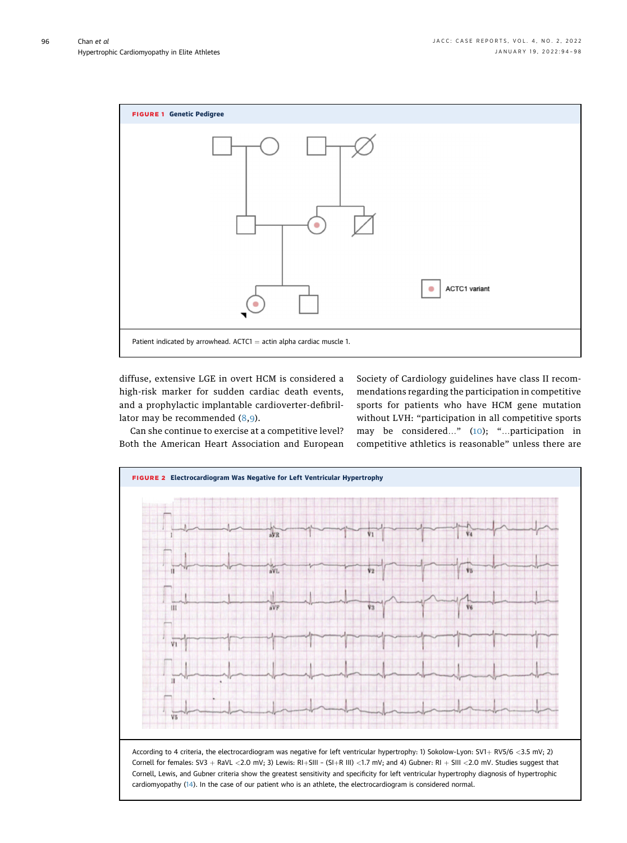<span id="page-2-0"></span>

diffuse, extensive LGE in overt HCM is considered a high-risk marker for sudden cardiac death events, and a prophylactic implantable cardioverter-defibrillator may be recommended ([8](#page-4-7)[,9](#page-4-8)).

Society of Cardiology guidelines have class II recommendations regarding the participation in competitive sports for patients who have HCM gene mutation without LVH: "participation in all competitive sports may be considered..." ([10](#page-4-9)); "...participation in competitive athletics is reasonable" unless there are

Can she continue to exercise at a competitive level? Both the American Heart Association and European

<span id="page-2-1"></span>

cardiomyopathy [\(14\)](#page-4-10). In the case of our patient who is an athlete, the electrocardiogram is considered normal.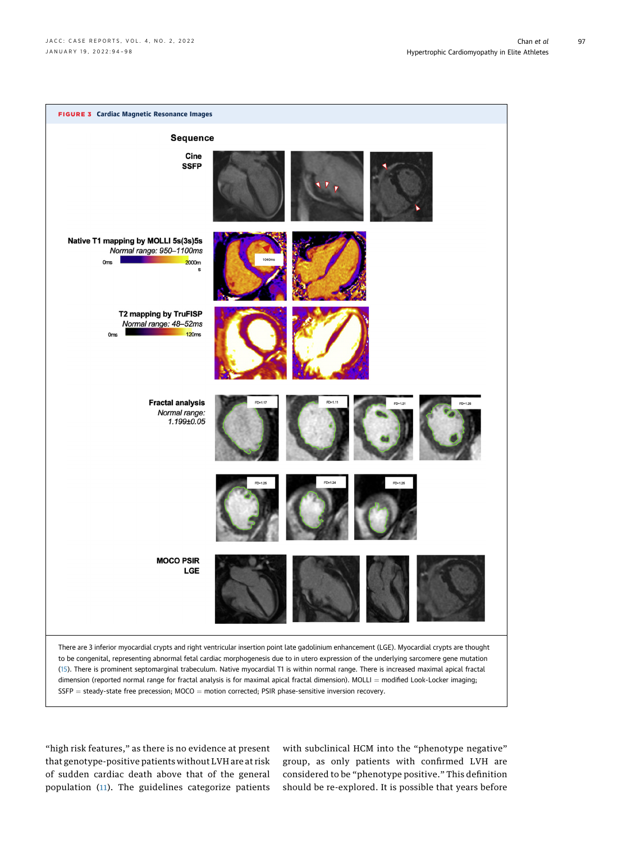<span id="page-3-0"></span>

"high risk features," as there is no evidence at present that genotype-positive patients without LVH are at risk of sudden cardiac death above that of the general population ([11\)](#page-4-11). The guidelines categorize patients

with subclinical HCM into the "phenotype negative" group, as only patients with confirmed LVH are considered to be "phenotype positive." This definition should be re-explored. It is possible that years before